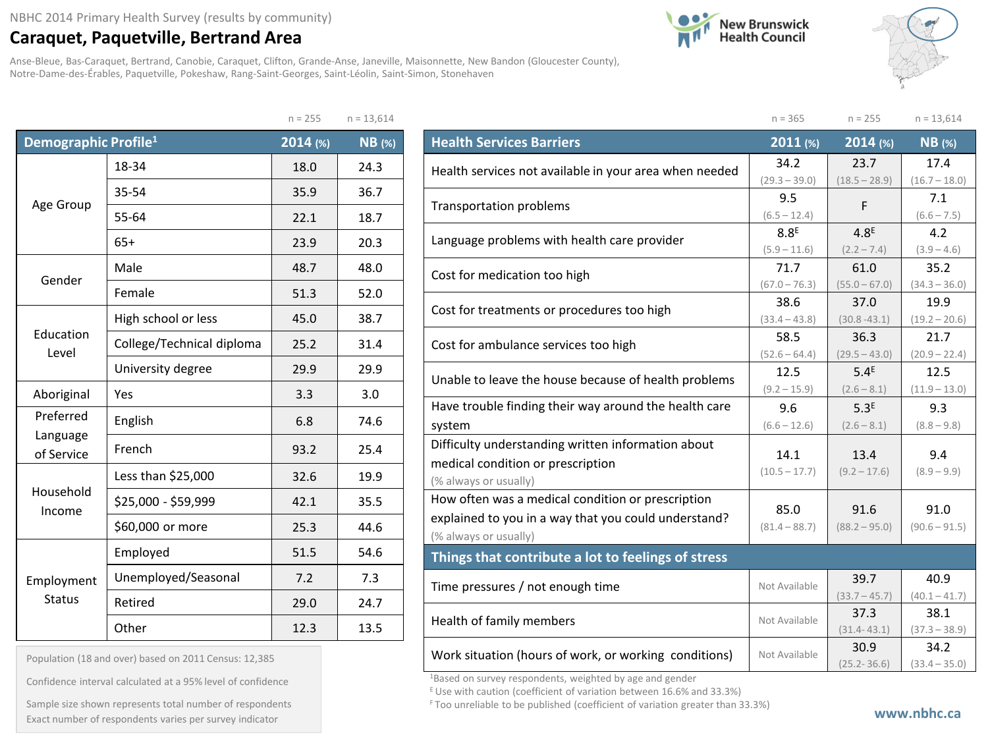## **Caraquet, Paquetville, Bertrand Area**

Anse-Bleue, Bas-Caraquet, Bertrand, Canobie, Caraquet, Clifton, Grande-Anse, Janeville, Maisonnette, New Bandon (Gloucester County), Notre-Dame-des-Érables, Paquetville, Pokeshaw, Rang-Saint-Georges, Saint-Léolin, Saint-Simon, Stonehaven





|                                  |                           | $n = 255$  | $n = 13,614$  |
|----------------------------------|---------------------------|------------|---------------|
| Demographic Profile <sup>1</sup> |                           | $2014$ (%) | <b>NB</b> (%) |
|                                  | 18-34                     | 18.0       | 24.3          |
|                                  | 35-54                     | 35.9       | 36.7          |
| Age Group                        | 55-64                     | 22.1       | 18.7          |
|                                  | $65+$                     | 23.9       | 20.3          |
| Gender                           | Male                      | 48.7       | 48.0          |
|                                  | Female                    | 51.3       | 52.0          |
| Education<br>Level               | High school or less       | 45.0       | 38.7          |
|                                  | College/Technical diploma | 25.2       | 31.4          |
|                                  | University degree         | 29.9       | 29.9          |
| Aboriginal                       | Yes                       | 3.3        | 3.0           |
| Preferred<br>Language            | English                   | 6.8        | 74.6          |
| of Service                       | French                    | 93.2       | 25.4          |
|                                  | Less than \$25,000        | 32.6       | 19.9          |
| Household<br>Income              | \$25,000 - \$59,999       | 42.1       | 35.5          |
|                                  | \$60,000 or more          | 25.3       | 44.6          |
|                                  | Employed                  | 51.5       | 54.6          |
| Employment                       | Unemployed/Seasonal       | 7.2        | 7.3           |
| <b>Status</b>                    | Retired                   | 29.0       | 24.7          |
|                                  | Other                     | 12.3       | 13.5          |

| Population (18 and over) based on 2011 Census: 12,385 |  |  |  |  |  |  |  |
|-------------------------------------------------------|--|--|--|--|--|--|--|
|-------------------------------------------------------|--|--|--|--|--|--|--|

Confidence interval calculated at a 95% level of confidence

Sample size shown represents total number of respondents Exact number of respondents varies per survey indicator **with a substitute of the published** (coefficient of variation greater than 33.3%)

|                                                        | $n = 365$                          | $n = 255$                         | $n = 13,614$            |
|--------------------------------------------------------|------------------------------------|-----------------------------------|-------------------------|
| <b>Health Services Barriers</b>                        | 2011 (%)                           | $2014$ (%)                        | $NB$ (%)                |
| Health services not available in your area when needed | 34.2                               | 23.7                              | 17.4                    |
|                                                        | $(29.3 - 39.0)$                    | $(18.5 - 28.9)$                   | $(16.7 - 18.0)$         |
| <b>Transportation problems</b>                         | 9.5                                | F                                 | 7.1                     |
|                                                        | $(6.5 - 12.4)$                     |                                   | $(6.6 - 7.5)$           |
| Language problems with health care provider            | 8.8 <sup>E</sup><br>$(5.9 - 11.6)$ | 4.8 <sup>E</sup><br>$(2.2 - 7.4)$ | 4.2<br>$(3.9 - 4.6)$    |
|                                                        | 71.7                               | 61.0                              | 35.2                    |
| Cost for medication too high                           | $(67.0 - 76.3)$                    | $(55.0 - 67.0)$                   | $(34.3 - 36.0)$         |
| Cost for treatments or procedures too high             | 38.6                               | 37.0                              | 19.9                    |
|                                                        | $(33.4 - 43.8)$                    | $(30.8 - 43.1)$                   | $(19.2 - 20.6)$         |
| Cost for ambulance services too high                   | 58.5                               | 36.3                              | 21.7                    |
|                                                        | $(52.6 - 64.4)$                    | $(29.5 - 43.0)$                   | $(20.9 - 22.4)$         |
| Unable to leave the house because of health problems   | 12.5                               | 5.4 <sup>E</sup>                  | 12.5                    |
|                                                        | $(9.2 - 15.9)$                     | $(2.6 - 8.1)$                     | $(11.9 - 13.0)$         |
| Have trouble finding their way around the health care  | 9.6                                | 5.3 <sup>E</sup>                  | 9.3                     |
| system                                                 | $(6.6 - 12.6)$                     | $(2.6 - 8.1)$                     | $(8.8 - 9.8)$           |
| Difficulty understanding written information about     | 14.1                               | 13.4                              | 9.4                     |
| medical condition or prescription                      | $(10.5 - 17.7)$                    | $(9.2 - 17.6)$                    | $(8.9 - 9.9)$           |
| (% always or usually)                                  |                                    |                                   |                         |
| How often was a medical condition or prescription      | 85.0                               | 91.6                              | 91.0                    |
| explained to you in a way that you could understand?   | $(81.4 - 88.7)$                    | $(88.2 - 95.0)$                   | $(90.6 - 91.5)$         |
| (% always or usually)                                  |                                    |                                   |                         |
| Things that contribute a lot to feelings of stress     |                                    |                                   |                         |
| Time pressures / not enough time                       | Not Available                      | 39.7                              | 40.9                    |
|                                                        |                                    | $(33.7 - 45.7)$                   | $(40.1 - 41.7)$         |
| Health of family members                               | Not Available                      | 37.3                              | 38.1                    |
|                                                        |                                    | $(31.4 - 43.1)$                   | $(37.3 - 38.9)$         |
| Work situation (hours of work, or working conditions)  | Not Available                      | 30.9<br>$(25.2 - 36.6)$           | 34.2<br>$(33.4 - 35.0)$ |

1Based on survey respondents, weighted by age and gender

E Use with caution (coefficient of variation between 16.6% and 33.3%)

F Too unreliable to be published (coefficient of variation greater than 33.3%)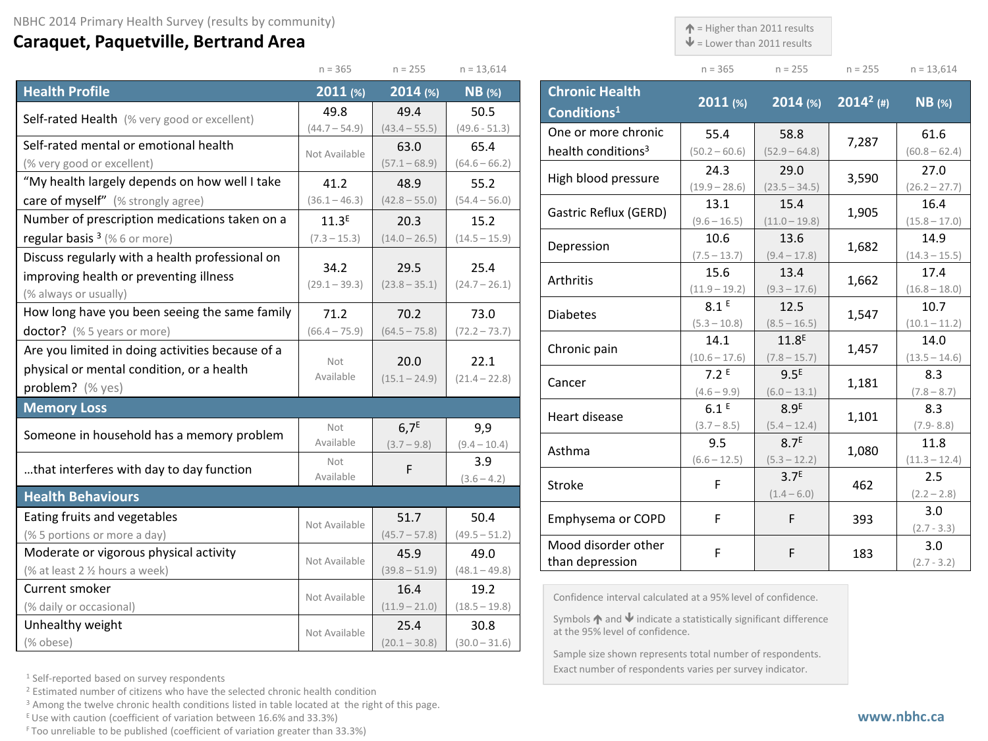## **Caraquet, Paquetville, Bertrand Area**

 $\uparrow$  = Higher than 2011 results

 $\blacklozenge$  = Lower than 2011 results

| $n = 365$ | $n = 255$ | $n = 255$ | $n = 13.614$ |
|-----------|-----------|-----------|--------------|

|                                                  | $n = 365$         | $n = 255$        | $n = 13,614$    |
|--------------------------------------------------|-------------------|------------------|-----------------|
| <b>Health Profile</b>                            | 2011 (%)          | 2014(%)          | <b>NB</b> (%)   |
| Self-rated Health (% very good or excellent)     | 49.8              | 49.4             | 50.5            |
|                                                  | $(44.7 - 54.9)$   | $(43.4 - 55.5)$  | $(49.6 - 51.3)$ |
| Self-rated mental or emotional health            | Not Available     | 63.0             | 65.4            |
| (% very good or excellent)                       |                   | $(57.1 - 68.9)$  | $(64.6 - 66.2)$ |
| "My health largely depends on how well I take    | 41.2              | 48.9             | 55.2            |
| care of myself" (% strongly agree)               | $(36.1 - 46.3)$   | $(42.8 - 55.0)$  | $(54.4 - 56.0)$ |
| Number of prescription medications taken on a    | 11.3 <sup>E</sup> | 20.3             | 15.2            |
| regular basis $3$ (% 6 or more)                  | $(7.3 - 15.3)$    | $(14.0 - 26.5)$  | $(14.5 - 15.9)$ |
| Discuss regularly with a health professional on  |                   |                  |                 |
| improving health or preventing illness           | 34.2              | 29.5             | 25.4            |
| (% always or usually)                            | $(29.1 - 39.3)$   | $(23.8 - 35.1)$  | $(24.7 - 26.1)$ |
| How long have you been seeing the same family    | 71.2              | 70.2             | 73.0            |
| doctor? (% 5 years or more)                      | $(66.4 - 75.9)$   | $(64.5 - 75.8)$  | $(72.2 - 73.7)$ |
| Are you limited in doing activities because of a | Not<br>Available  |                  |                 |
| physical or mental condition, or a health        |                   | 20.0             | 22.1            |
| problem? (% yes)                                 |                   | $(15.1 - 24.9)$  | $(21.4 - 22.8)$ |
| <b>Memory Loss</b>                               |                   |                  |                 |
| Someone in household has a memory problem        | Not               | 6.7 <sup>E</sup> | 9,9             |
|                                                  | Available         | $(3.7 - 9.8)$    | $(9.4 - 10.4)$  |
| that interferes with day to day function         | Not               | F                | 3.9             |
|                                                  | Available         |                  | $(3.6 - 4.2)$   |
| <b>Health Behaviours</b>                         |                   |                  |                 |
| Eating fruits and vegetables                     | Not Available     | 51.7             | 50.4            |
| (% 5 portions or more a day)                     |                   | $(45.7 - 57.8)$  | $(49.5 - 51.2)$ |
| Moderate or vigorous physical activity           | Not Available     | 45.9             | 49.0            |
| (% at least 2 1/2 hours a week)                  |                   | $(39.8 - 51.9)$  | $(48.1 - 49.8)$ |
| Current smoker                                   | Not Available     | 16.4             | 19.2            |
| (% daily or occasional)                          |                   | $(11.9 - 21.0)$  | $(18.5 - 19.8)$ |
| Unhealthy weight                                 | Not Available     | 25.4             | 30.8            |
| (% obese)                                        |                   | $(20.1 - 30.8)$  | $(30.0 - 31.6)$ |

| <b>Chronic Health</b><br>Conditions <sup>1</sup> | $2011$ (%)                          | $2014$ (%)                          | $2014^2$ (#) | <b>NB</b> (%)           |
|--------------------------------------------------|-------------------------------------|-------------------------------------|--------------|-------------------------|
| One or more chronic                              | 55.4                                | 58.8                                | 7,287        | 61.6                    |
| health conditions <sup>3</sup>                   | $(50.2 - 60.6)$                     | $(52.9 - 64.8)$                     |              | $(60.8 - 62.4)$         |
| High blood pressure                              | 24.3                                | 29.0                                | 3,590        | 27.0                    |
|                                                  | $(19.9 - 28.6)$                     | $(23.5 - 34.5)$                     |              | $(26.2 - 27.7)$         |
| Gastric Reflux (GERD)                            | 13.1                                | 15.4                                | 1,905        | 16.4                    |
|                                                  | $(9.6 - 16.5)$                      | $(11.0 - 19.8)$                     |              | $(15.8 - 17.0)$         |
| Depression                                       | 10.6                                | 13.6                                | 1,682        | 14.9                    |
|                                                  | $(7.5 - 13.7)$                      | $(9.4 - 17.8)$                      |              | $(14.3 - 15.5)$         |
| Arthritis                                        | 15.6                                | 13.4                                | 1,662        | 17.4                    |
|                                                  | $(11.9 - 19.2)$<br>8.1 <sup>E</sup> | $(9.3 - 17.6)$                      |              | $(16.8 - 18.0)$         |
| <b>Diabetes</b>                                  |                                     | 12.5                                | 1,547        | 10.7                    |
|                                                  | $(5.3 - 10.8)$<br>14.1              | $(8.5 - 16.5)$<br>11.8 <sup>E</sup> |              | $(10.1 - 11.2)$<br>14.0 |
| Chronic pain                                     | $(10.6 - 17.6)$                     | $(7.8 - 15.7)$                      | 1,457        | $(13.5 - 14.6)$         |
|                                                  | 7.2E                                | 9.5 <sup>E</sup>                    |              | 8.3                     |
| Cancer                                           | $(4.6 - 9.9)$                       | $(6.0 - 13.1)$                      | 1,181        | $(7.8 - 8.7)$           |
|                                                  | 6.1 <sup>E</sup>                    | 8.9 <sup>E</sup>                    |              | 8.3                     |
| Heart disease                                    | $(3.7 - 8.5)$                       | $(5.4 - 12.4)$                      | 1,101        | $(7.9 - 8.8)$           |
| Asthma                                           | 9.5                                 | 8.7 <sup>E</sup>                    | 1,080        | 11.8                    |
|                                                  | $(6.6 - 12.5)$                      | $(5.3 - 12.2)$                      |              | $(11.3 - 12.4)$         |
| Stroke                                           | F                                   | 3.7 <sup>E</sup>                    | 462          | 2.5                     |
|                                                  |                                     | $(1.4 - 6.0)$                       |              | $(2.2 - 2.8)$           |
| Emphysema or COPD                                | F                                   | F                                   | 393          | 3.0                     |
|                                                  |                                     |                                     |              | $(2.7 - 3.3)$           |
| Mood disorder other                              | F                                   | F                                   | 183          | 3.0                     |
| than depression                                  |                                     |                                     |              | $(2.7 - 3.2)$           |

Confidence interval calculated at a 95% level of confidence.

Symbols  $\bigwedge$  and  $\bigvee$  indicate a statistically significant difference at the 95% level of confidence.

Sample size shown represents total number of respondents. Exact number of respondents varies per survey indicator.

<sup>1</sup> Self-reported based on survey respondents

<sup>2</sup> Estimated number of citizens who have the selected chronic health condition

<sup>3</sup> Among the twelve chronic health conditions listed in table located at the right of this page.

 $E$  Use with caution (coefficient of variation between 16.6% and 33.3%)

F Too unreliable to be published (coefficient of variation greater than 33.3%)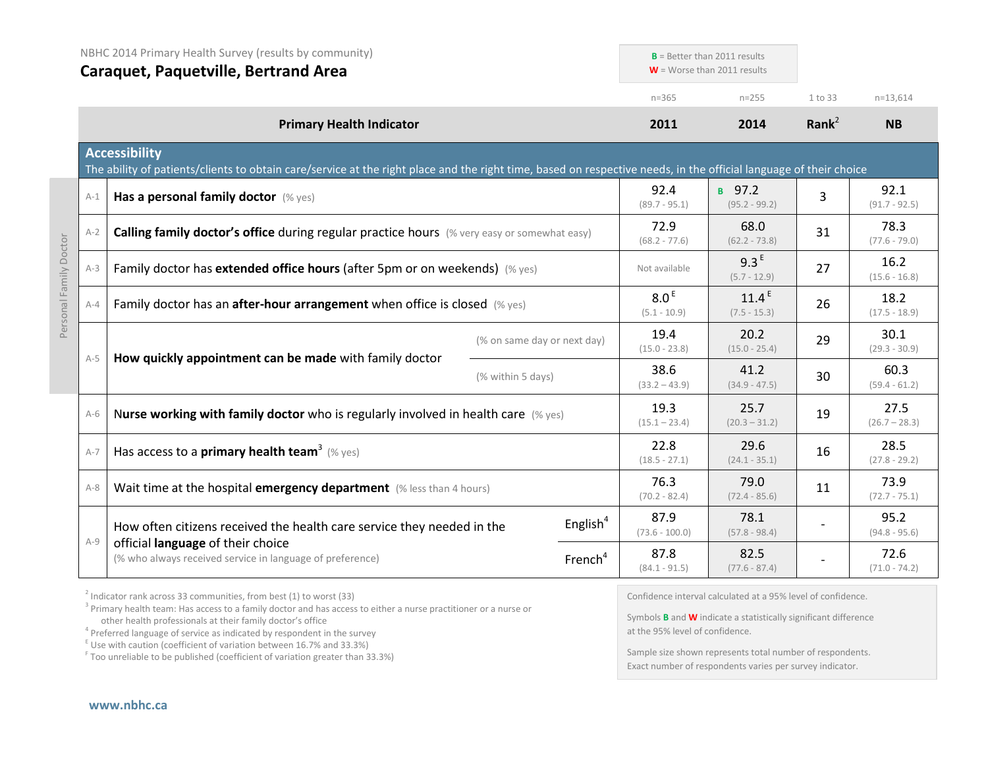|         | NBHC 2014 Primary Health Survey (results by community)<br><b>Caraquet, Paquetville, Bertrand Area</b>                                                                                     |                             | $B =$ Better than 2011 results<br>$W =$ Worse than 2011 results |                                    |                   |                         |
|---------|-------------------------------------------------------------------------------------------------------------------------------------------------------------------------------------------|-----------------------------|-----------------------------------------------------------------|------------------------------------|-------------------|-------------------------|
|         |                                                                                                                                                                                           |                             | $n = 365$                                                       | $n = 255$                          | 1 to 33           | $n=13,614$              |
|         | <b>Primary Health Indicator</b>                                                                                                                                                           |                             | 2011                                                            | 2014                               | Rank <sup>2</sup> | <b>NB</b>               |
|         | <b>Accessibility</b><br>The ability of patients/clients to obtain care/service at the right place and the right time, based on respective needs, in the official language of their choice |                             |                                                                 |                                    |                   |                         |
| $A-1$   | Has a personal family doctor (% yes)                                                                                                                                                      |                             | 92.4<br>$(89.7 - 95.1)$                                         | в 97.2<br>$(95.2 - 99.2)$          | 3                 | 92.1<br>$(91.7 - 92.5)$ |
| $A-2$   | <b>Calling family doctor's office during regular practice hours</b> (% very easy or somewhat easy)                                                                                        |                             | 72.9<br>$(68.2 - 77.6)$                                         | 68.0<br>$(62.2 - 73.8)$            | 31                | 78.3<br>$(77.6 - 79.0)$ |
| $A-3$   | Family doctor has extended office hours (after 5pm or on weekends) (% yes)                                                                                                                |                             | Not available                                                   | 9.3 <sup>E</sup><br>$(5.7 - 12.9)$ | 27                | 16.2<br>$(15.6 - 16.8)$ |
| $A - 4$ | Family doctor has an after-hour arrangement when office is closed (% yes)                                                                                                                 |                             | 8.0 <sup>E</sup><br>$(5.1 - 10.9)$                              | $11.4^E$<br>$(7.5 - 15.3)$         | 26                | 18.2<br>$(17.5 - 18.9)$ |
|         |                                                                                                                                                                                           | (% on same day or next day) | 19.4<br>$(15.0 - 23.8)$                                         | 20.2<br>$(15.0 - 25.4)$            | 29                | 30.1<br>$(29.3 - 30.9)$ |
| $A-5$   | How quickly appointment can be made with family doctor<br>(% within 5 days)                                                                                                               |                             | 38.6<br>$(33.2 - 43.9)$                                         | 41.2<br>$(34.9 - 47.5)$            | 30                | 60.3<br>$(59.4 - 61.2)$ |
| $A-6$   | Nurse working with family doctor who is regularly involved in health care $(\%$ yes)                                                                                                      |                             | 19.3<br>$(15.1 - 23.4)$                                         | 25.7<br>$(20.3 - 31.2)$            | 19                | 27.5<br>$(26.7 - 28.3)$ |
| $A-7$   | Has access to a primary health team <sup>3</sup> (% yes)                                                                                                                                  |                             | 22.8<br>$(18.5 - 27.1)$                                         | 29.6<br>$(24.1 - 35.1)$            | 16                | 28.5<br>$(27.8 - 29.2)$ |
| $A-8$   | Wait time at the hospital emergency department (% less than 4 hours)                                                                                                                      |                             | 76.3<br>$(70.2 - 82.4)$                                         | 79.0<br>$(72.4 - 85.6)$            | 11                | 73.9<br>$(72.7 - 75.1)$ |
|         | How often citizens received the health care service they needed in the                                                                                                                    | English <sup>4</sup>        | 87.9<br>$(73.6 - 100.0)$                                        | 78.1<br>$(57.8 - 98.4)$            |                   | 95.2<br>$(94.8 - 95.6)$ |
| $A-9$   | official language of their choice<br>(% who always received service in language of preference)                                                                                            | French <sup>4</sup>         | 87.8<br>$(84.1 - 91.5)$                                         | 82.5<br>$(77.6 - 87.4)$            |                   | 72.6<br>$(71.0 - 74.2)$ |
|         |                                                                                                                                                                                           |                             |                                                                 |                                    |                   |                         |

 $2^{2}$  Indicator rank across 33 communities, from best (1) to worst (33)

<sup>3</sup> Primary health team: Has access to a family doctor and has access to either a nurse practitioner or a nurse or other health professionals at their family doctor's office

<sup>4</sup> Preferred language of service as indicated by respondent in the survey

 $E$  Use with caution (coefficient of variation between 16.7% and 33.3%)

<sup>F</sup> Too unreliable to be published (coefficient of variation greater than 33.3%)

Confidence interval calculated at a 95% level of confidence.

Symbols **B** and **W** indicate a statistically significant difference at the 95% level of confidence.

Sample size shown represents total number of respondents. Exact number of respondents varies per survey indicator.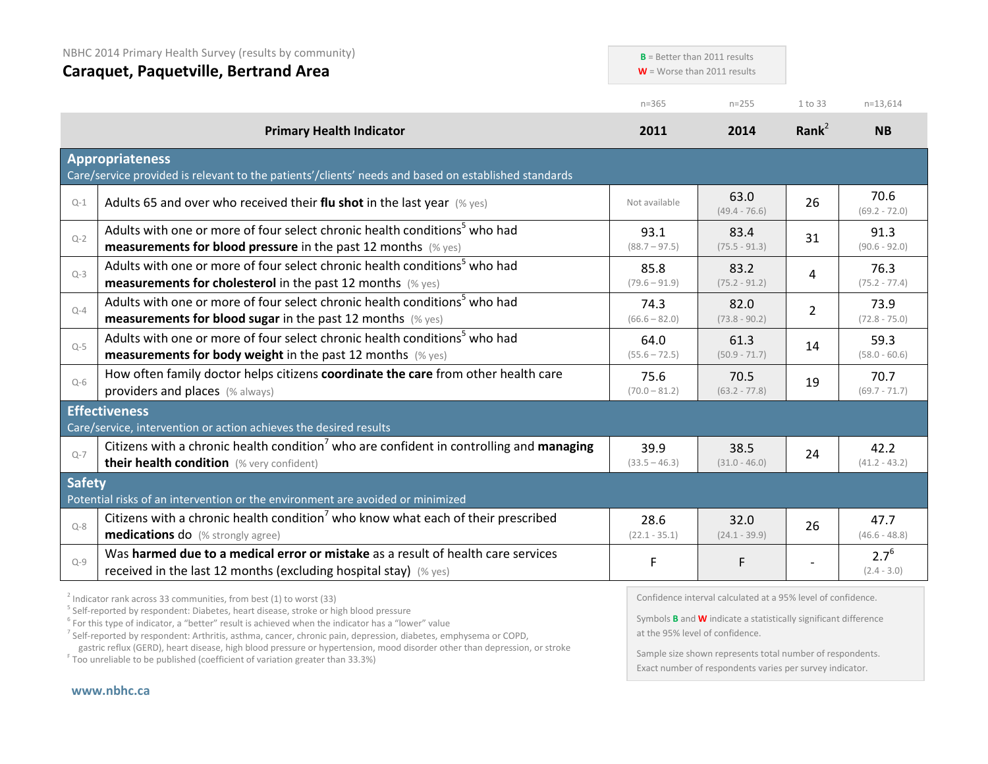| NBHC 2014 Primary Health Survey (results by community)<br><b>Caraquet, Paquetville, Bertrand Area</b> |                                                                                                                                                                                                                       | $B =$ Better than 2011 results<br>$W =$ Worse than 2011 results |                         |                   |                            |  |
|-------------------------------------------------------------------------------------------------------|-----------------------------------------------------------------------------------------------------------------------------------------------------------------------------------------------------------------------|-----------------------------------------------------------------|-------------------------|-------------------|----------------------------|--|
|                                                                                                       |                                                                                                                                                                                                                       | $n = 365$                                                       | $n = 255$               | 1 to 33           | $n=13,614$                 |  |
|                                                                                                       | <b>Primary Health Indicator</b>                                                                                                                                                                                       | 2011                                                            | 2014                    | Rank <sup>2</sup> | <b>NB</b>                  |  |
|                                                                                                       | <b>Appropriateness</b><br>Care/service provided is relevant to the patients'/clients' needs and based on established standards                                                                                        |                                                                 |                         |                   |                            |  |
| $Q-1$                                                                                                 | Adults 65 and over who received their flu shot in the last year $(\%$ yes)                                                                                                                                            | Not available                                                   | 63.0<br>$(49.4 - 76.6)$ | 26                | 70.6<br>$(69.2 - 72.0)$    |  |
| $Q-2$                                                                                                 | Adults with one or more of four select chronic health conditions <sup>5</sup> who had<br><b>measurements for blood pressure</b> in the past 12 months $(\%$ yes)                                                      | 93.1<br>$(88.7 - 97.5)$                                         | 83.4<br>$(75.5 - 91.3)$ | 31                | 91.3<br>$(90.6 - 92.0)$    |  |
| $Q-3$                                                                                                 | Adults with one or more of four select chronic health conditions <sup>5</sup> who had<br><b>measurements for cholesterol</b> in the past 12 months $(\%$ yes)                                                         | 85.8<br>$(79.6 - 91.9)$                                         | 83.2<br>$(75.2 - 91.2)$ | 4                 | 76.3<br>$(75.2 - 77.4)$    |  |
| $Q - 4$                                                                                               | Adults with one or more of four select chronic health conditions <sup>5</sup> who had<br><b>measurements for blood sugar in the past 12 months</b> (% yes)                                                            | 74.3<br>$(66.6 - 82.0)$                                         | 82.0<br>$(73.8 - 90.2)$ | $\overline{2}$    | 73.9<br>$(72.8 - 75.0)$    |  |
| $Q-5$                                                                                                 | Adults with one or more of four select chronic health conditions <sup>5</sup> who had<br><b>measurements for body weight</b> in the past 12 months (% yes)                                                            | 64.0<br>$(55.6 - 72.5)$                                         | 61.3<br>$(50.9 - 71.7)$ | 14                | 59.3<br>$(58.0 - 60.6)$    |  |
| $Q-6$                                                                                                 | How often family doctor helps citizens coordinate the care from other health care<br>providers and places (% always)                                                                                                  | 75.6<br>$(70.0 - 81.2)$                                         | 70.5<br>$(63.2 - 77.8)$ | 19                | 70.7<br>$(69.7 - 71.7)$    |  |
|                                                                                                       | <b>Effectiveness</b>                                                                                                                                                                                                  |                                                                 |                         |                   |                            |  |
| $Q - 7$                                                                                               | Care/service, intervention or action achieves the desired results<br>Citizens with a chronic health condition <sup>7</sup> who are confident in controlling and managing<br>their health condition (% very confident) | 39.9<br>$(33.5 - 46.3)$                                         | 38.5<br>$(31.0 - 46.0)$ | 24                | 42.2<br>$(41.2 - 43.2)$    |  |
| <b>Safety</b>                                                                                         | Potential risks of an intervention or the environment are avoided or minimized                                                                                                                                        |                                                                 |                         |                   |                            |  |
| $Q - 8$                                                                                               | Citizens with a chronic health condition <sup>7</sup> who know what each of their prescribed<br><b>medications do</b> (% strongly agree)                                                                              | 28.6<br>$(22.1 - 35.1)$                                         | 32.0<br>$(24.1 - 39.9)$ | 26                | 47.7<br>$(46.6 - 48.8)$    |  |
| $Q-9$                                                                                                 | Was harmed due to a medical error or mistake as a result of health care services<br>received in the last 12 months (excluding hospital stay) (% yes)                                                                  | F                                                               | F                       |                   | $2.7^{6}$<br>$(2.4 - 3.0)$ |  |

<sup>2</sup> Indicator rank across 33 communities, from best (1) to worst (33)<br><sup>5</sup> Self-reported by respondent: Diabetes, heart disease, stroke or high blood pressure

<sup>6</sup> For this type of indicator, a "better" result is achieved when the indicator has a "lower" value

<sup>7</sup> Self-reported by respondent: Arthritis, asthma, cancer, chronic pain, depression, diabetes, emphysema or COPD, gastric reflux (GERD), heart disease, high blood pressure or hypertension, mood disorder other than depression, or stroke F Too unreliable to be published (coefficient of variation greater than 33.3%)

Confidence interval calculated at a 95% level of confidence.

Symbols **B** and **W** indicate a statistically significant difference at the 95% level of confidence.

Sample size shown represents total number of respondents. Exact number of respondents varies per survey indicator.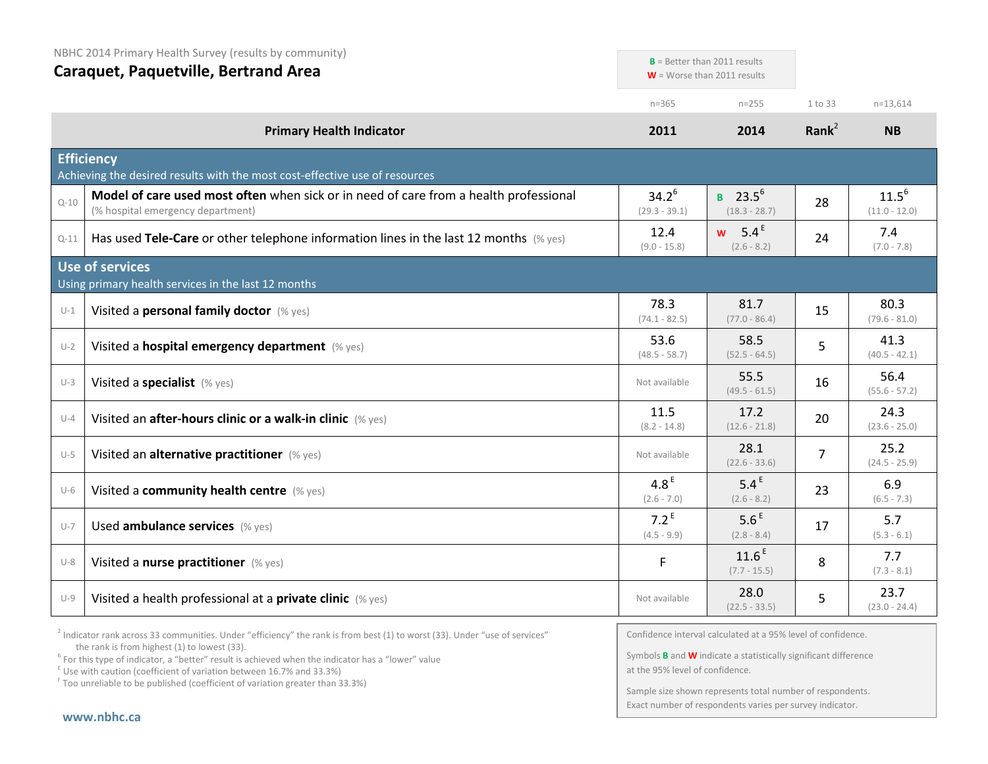|          | NBHC 2014 Primary Health Survey (results by community)<br><b>Caraquet, Paquetville, Bertrand Area</b>                      |                                   |                                                                 |                   |                               |
|----------|----------------------------------------------------------------------------------------------------------------------------|-----------------------------------|-----------------------------------------------------------------|-------------------|-------------------------------|
|          |                                                                                                                            |                                   | $B =$ Better than 2011 results<br>$W =$ Worse than 2011 results |                   |                               |
|          |                                                                                                                            | $n = 365$                         | $n = 255$                                                       | 1 to 33           | $n=13,614$                    |
|          | <b>Primary Health Indicator</b>                                                                                            | 2011                              | 2014                                                            | Rank <sup>2</sup> | <b>NB</b>                     |
|          | <b>Efficiency</b><br>Achieving the desired results with the most cost-effective use of resources                           |                                   |                                                                 |                   |                               |
| $Q - 10$ | Model of care used most often when sick or in need of care from a health professional<br>(% hospital emergency department) | $34.2^{6}$<br>$(29.3 - 39.1)$     | <b>B</b> 23.5 <sup>6</sup><br>$(18.3 - 28.7)$                   | 28                | $11.5^{6}$<br>$(11.0 - 12.0)$ |
| $Q - 11$ | Has used Tele-Care or other telephone information lines in the last 12 months $(\%$ yes)                                   | 12.4<br>$(9.0 - 15.8)$            | 5.4 $E$<br><b>W</b><br>$(2.6 - 8.2)$                            | 24                | 7.4<br>$(7.0 - 7.8)$          |
|          | <b>Use of services</b><br>Using primary health services in the last 12 months                                              |                                   |                                                                 |                   |                               |
| $U-1$    | Visited a personal family doctor (% yes)                                                                                   | 78.3<br>$(74.1 - 82.5)$           | 81.7<br>$(77.0 - 86.4)$                                         | 15                | 80.3<br>$(79.6 - 81.0)$       |
| $U-2$    | Visited a hospital emergency department (% yes)                                                                            | 53.6<br>$(48.5 - 58.7)$           | 58.5<br>$(52.5 - 64.5)$                                         | 5                 | 41.3<br>$(40.5 - 42.1)$       |
| $U-3$    | Visited a specialist (% yes)                                                                                               | Not available                     | 55.5<br>$(49.5 - 61.5)$                                         | 16                | 56.4<br>$(55.6 - 57.2)$       |
| $U - 4$  | Visited an after-hours clinic or a walk-in clinic (% yes)                                                                  | 11.5<br>$(8.2 - 14.8)$            | 17.2<br>$(12.6 - 21.8)$                                         | 20                | 24.3<br>$(23.6 - 25.0)$       |
| $U-5$    | Visited an alternative practitioner (% yes)                                                                                | Not available                     | 28.1<br>$(22.6 - 33.6)$                                         | $\overline{7}$    | 25.2<br>$(24.5 - 25.9)$       |
| $U-6$    | Visited a community health centre (% yes)                                                                                  | 4.8 <sup>E</sup><br>$(2.6 - 7.0)$ | 5.4 <sup>E</sup><br>$(2.6 - 8.2)$                               | 23                | 6.9<br>$(6.5 - 7.3)$          |
| $U - 7$  | Used ambulance services (% yes)                                                                                            | $7.2^E$<br>$(4.5 - 9.9)$          | 5.6 <sup>E</sup><br>$(2.8 - 8.4)$                               | 17                | 5.7<br>$(5.3 - 6.1)$          |
| $U-8$    | Visited a nurse practitioner (% yes)                                                                                       | F                                 | 11.6 <sup>E</sup><br>$(7.7 - 15.5)$                             | 8                 | 7.7<br>$(7.3 - 8.1)$          |
| $U-9$    | Visited a health professional at a <b>private clinic</b> $(\%$ yes)                                                        | Not available                     | 28.0<br>$(22.5 - 33.5)$                                         | 5                 | 23.7<br>$(23.0 - 24.4)$       |

 $2$  Indicator rank across 33 communities. Under "efficiency" the rank is from best (1) to worst (33). Under "use of services" the rank is from highest (1) to lowest (33).

<sup>6</sup> For this type of indicator, a "better" result is achieved when the indicator has a "lower" value  $E$ <sup>E</sup> Use with caution (coefficient of variation between 16.7% and 33.3%)

<sup>F</sup> Too unreliable to be published (coefficient of variation greater than 33.3%)

Confidence interval calculated at a 95% level of confidence.

Symbols **B** and **W** indicate a statistically significant difference at the 95% level of confidence.

Sample size shown represents total number of respondents. Exact number of respondents varies per survey indicator.